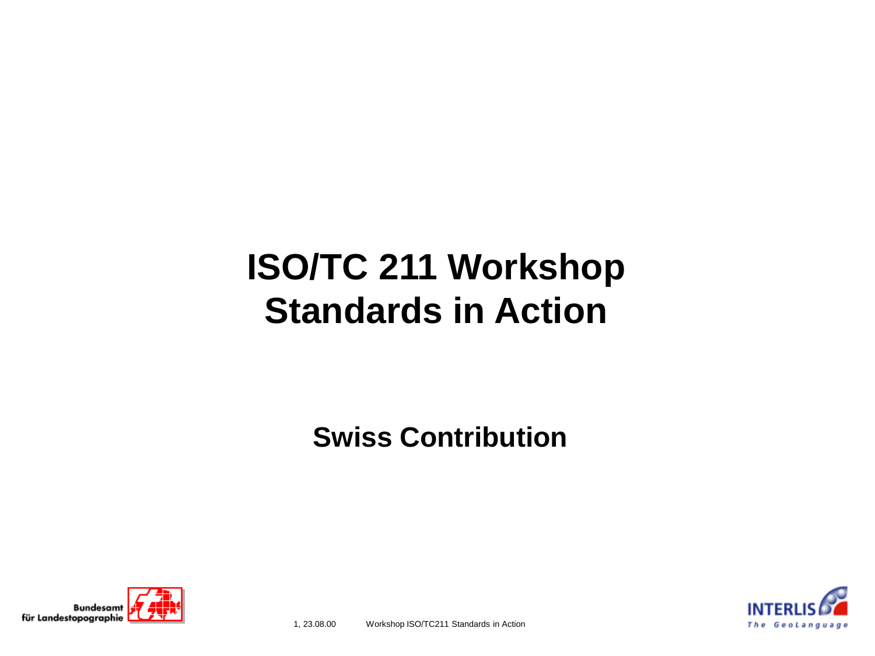# **ISO/TC 211 Workshop Standards in Action**

**Swiss Contribution**



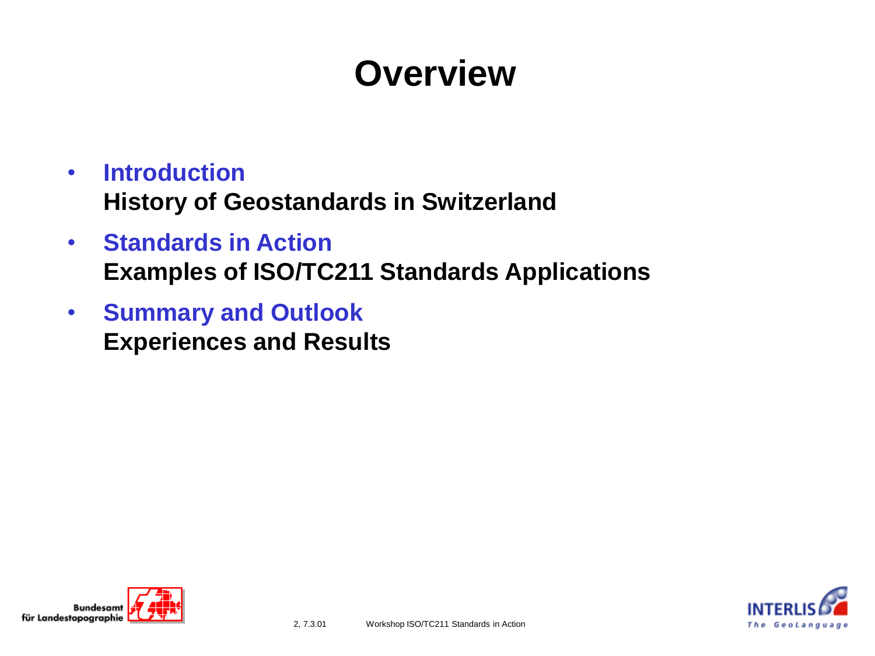## **Overview**

- **Introduction History of Geostandards in Switzerland**
- **Standards in Action Examples of ISO/TC211 Standards Applications**
- **Summary and Outlook Experiences and Results**



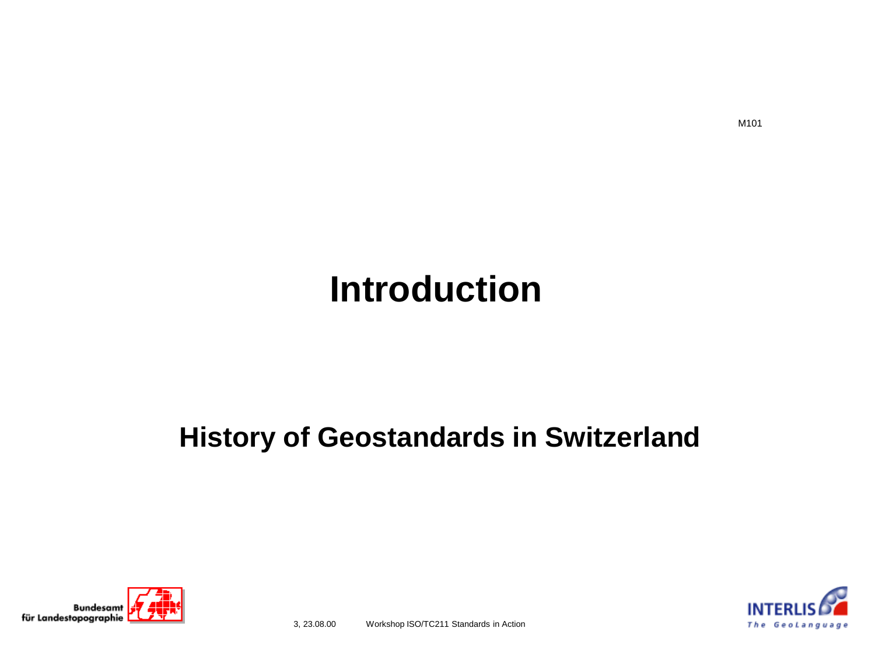#### **History of Geostandards in Switzerland**



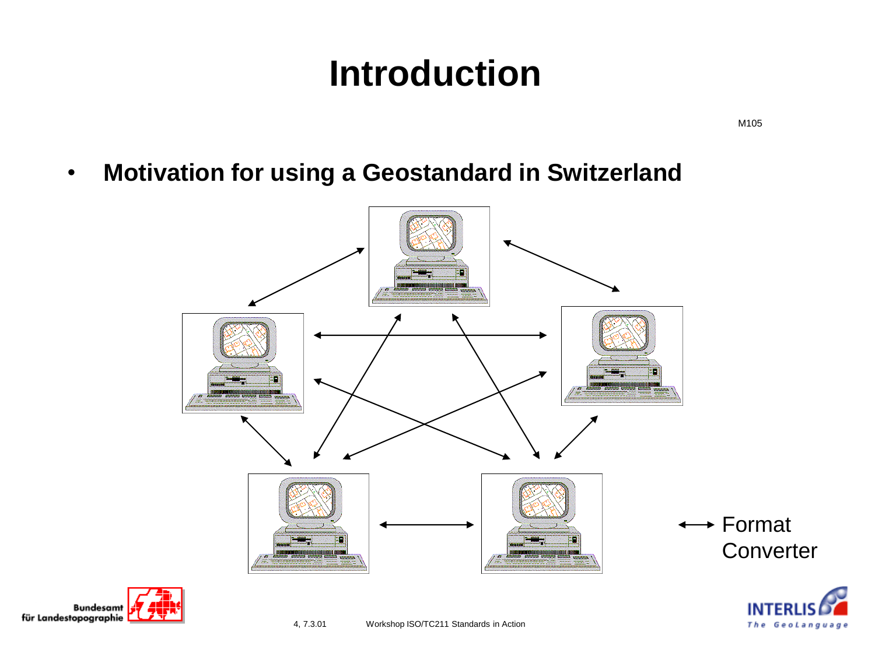M105

• **Motivation for using a Geostandard in Switzerland**





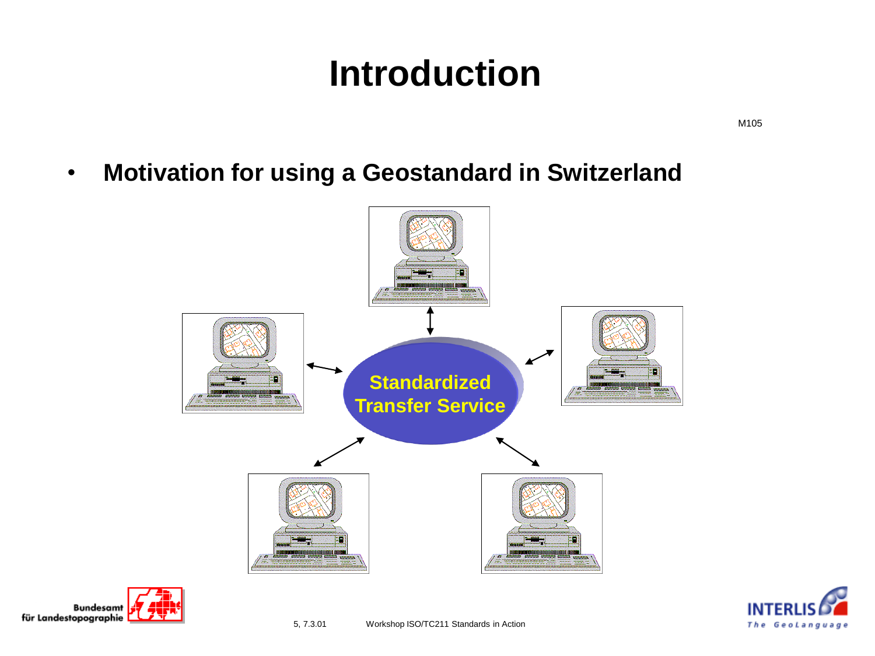• **Motivation for using a Geostandard in Switzerland**





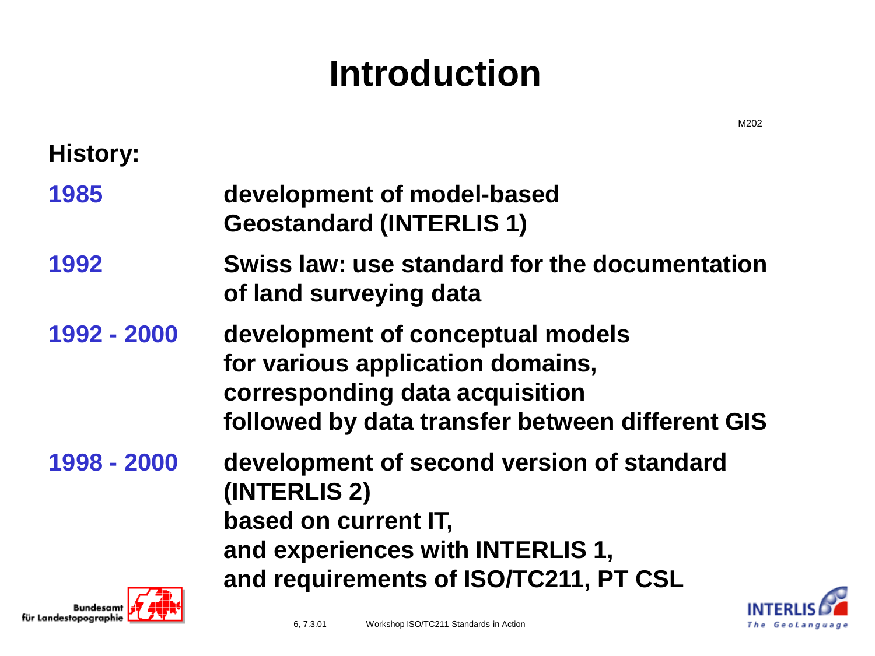

M202

für Landestopographie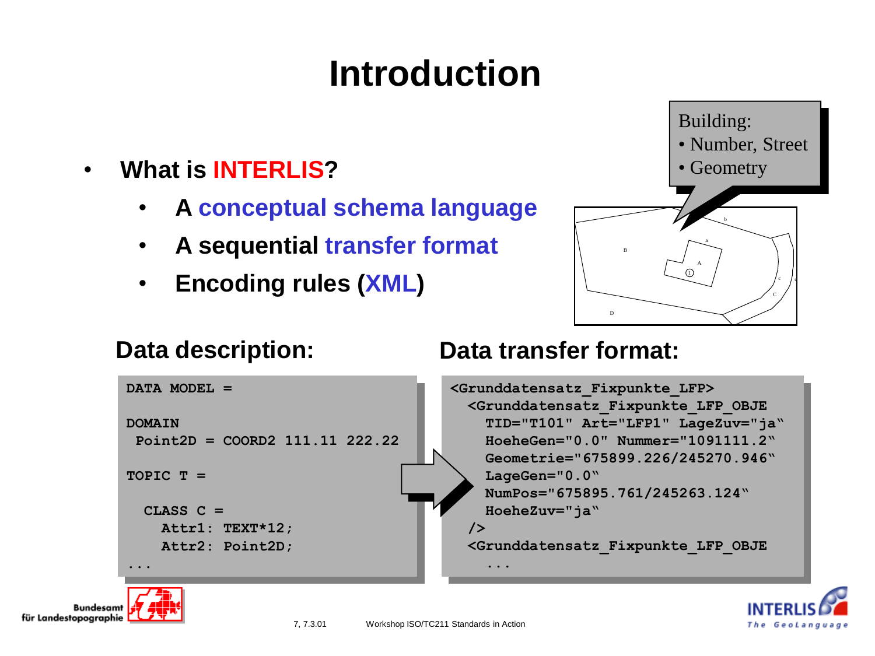- **What is INTERLIS?**
	- **A conceptual schema language**
	- **A sequential transfer format**
	- **Encoding rules (XML)**



The GeoLanguag

#### **Data description: Data transfer format:**



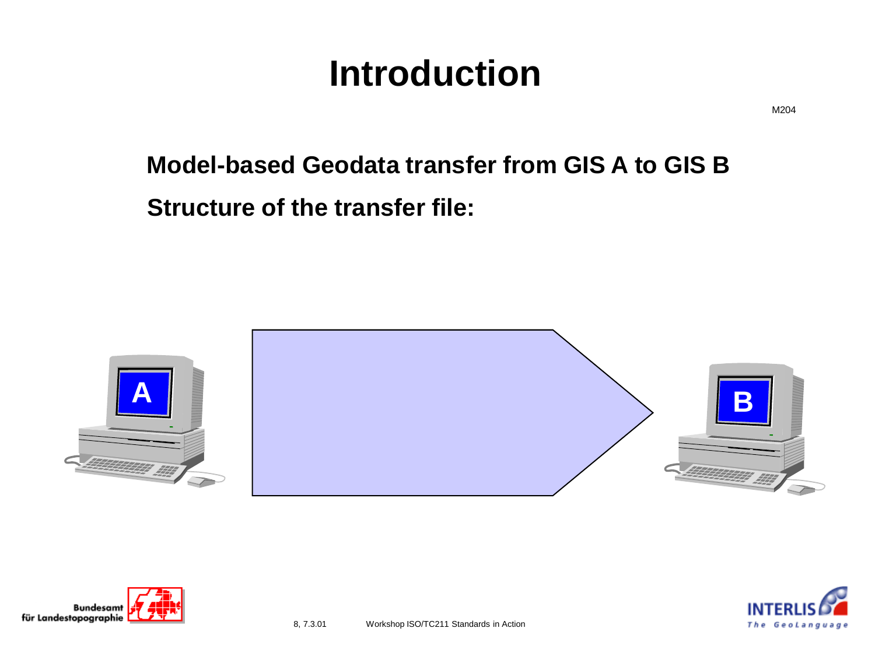#### **Structure of the transfer file: Model-based Geodata transfer from GIS A to GIS B**





M204

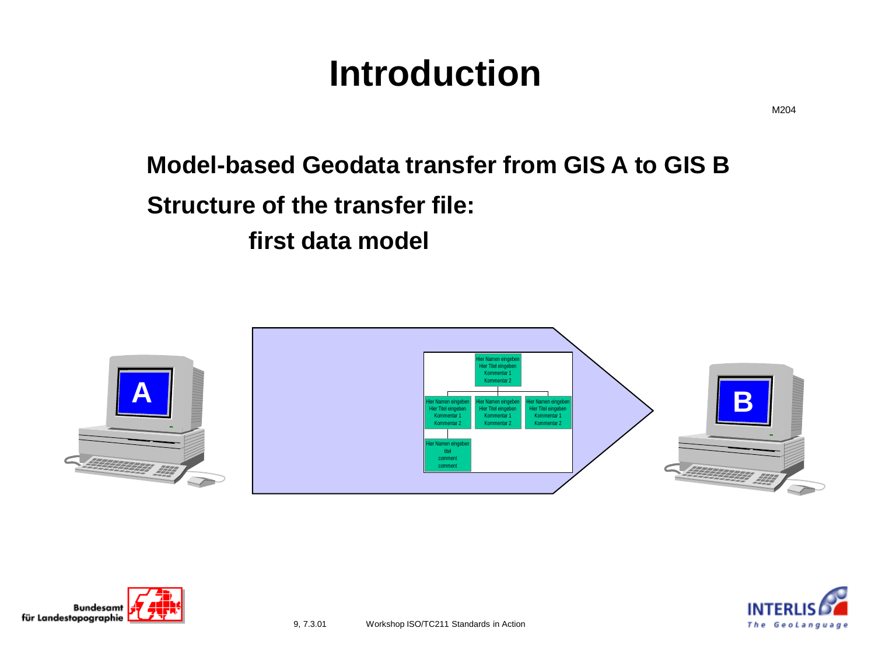**Structure of the transfer file: Model-based Geodata transfer from GIS A to GIS B first data model**





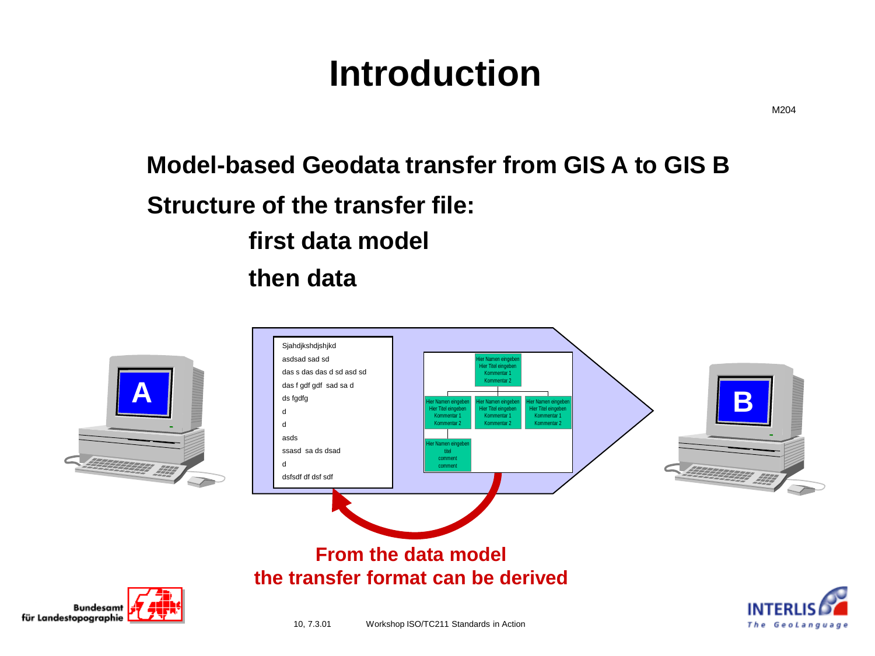M204

The GeoLanguag

#### **Structure of the transfer file: Model-based Geodata transfer from GIS A to GIS B first data model then data**

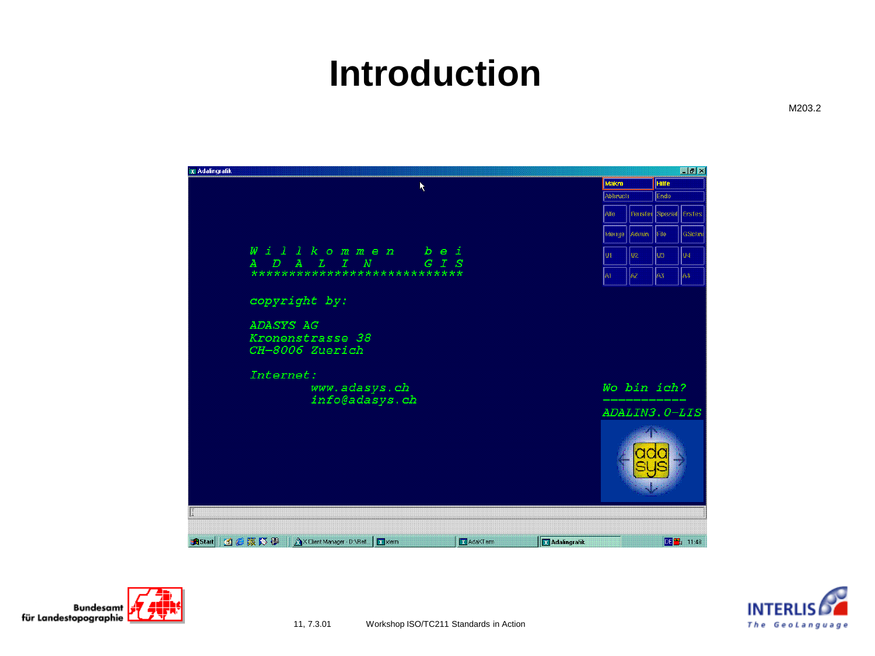X Adalingrafik  $B$   $x$ Makro **Hilfe**  $\mathbf{k}$ Ableuch Ende Fenster Spezial Erster 38a Admin FBe :Sela MONIER  $W$  i l l  $k$  o m m e n  $b$  e  $i$ 03 04. s bis U2.  $D$   $A$   $L$   $I$   $N$  $G$   $I$   $S$  $\mathbf{A}$ \*\*\*\*\*\* se. A4. copyright by: ADASYS AG Kronenstrasse 38 CH-8006 Zuerich Internet: www.adasys.ch Wo bin ich? info@adasys.ch ADALIN3. O-LIS **A Start** | ① ② 聚 ③ <sup>1</sup> △× Client Manager · D:\Refl.. | <mark>■</mark> xterm X AdaXTerm **X** Adalingrafik DE 34 11:48



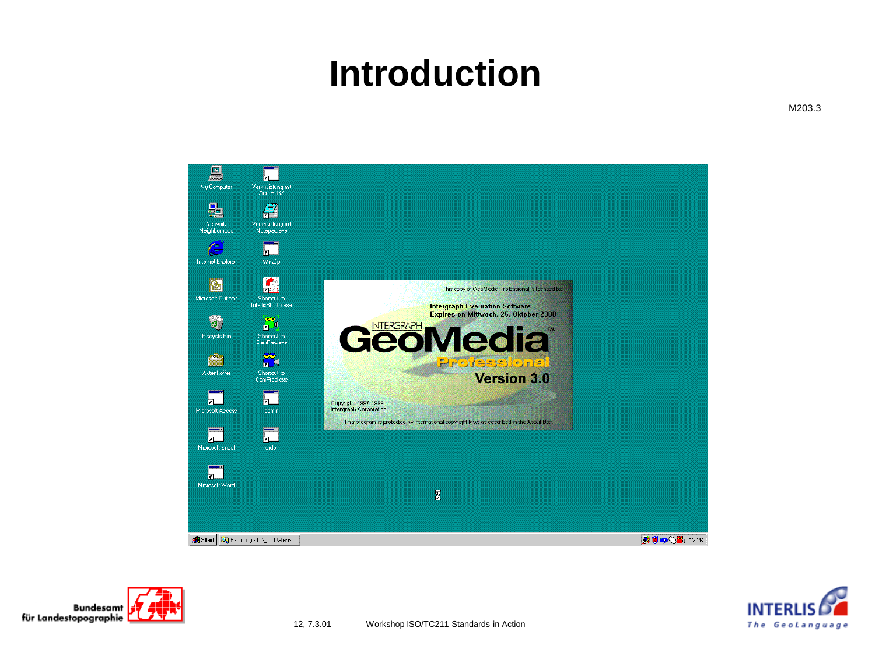国  $\overline{\phantom{a}}$ My Computer Verknüpfung mit<br>AcroRd32 毑  $\boldsymbol{\varTheta}$ Network<br>Neighborhood Verknüpfung mit<br>Notepad.exe  $\left( =\right)$  $\overline{\phantom{a}}$ Internet Explorer WinZip  $\mathbf{R}$ 图 This copy of GeoMedia Professional is licensed to: Microsoft Outlook Shortcut to<br>InterlisStudio.exe **Intergraph Evaluation Software** Expires on Mittwoch. 25. Oktober 2000 新  $\frac{\omega}{\omega}$ **INTERGRAPH** Recycle Bin Shortcut to<br>Camflec.exe **CAC** a  $\frac{20}{10}$ ė Professiona Shortcut to<br>CamProd.exe Aktenkoffer Version 3.0  $\overline{\mathbf{h}}$  $\overline{\phantom{a}}$ Copyright 1997-1999<br>Intergraph Corporation Microsoft Access admin This program is protected by international copyright laws as described in the About Box.  $\sqrt{2}$  $\mathbf{L}$ Microsoft Excel order 肩  $\overline{\mathbf{X}}$ Start | Q Exploring - C:\\_LTDaten\I... ■ 12:26



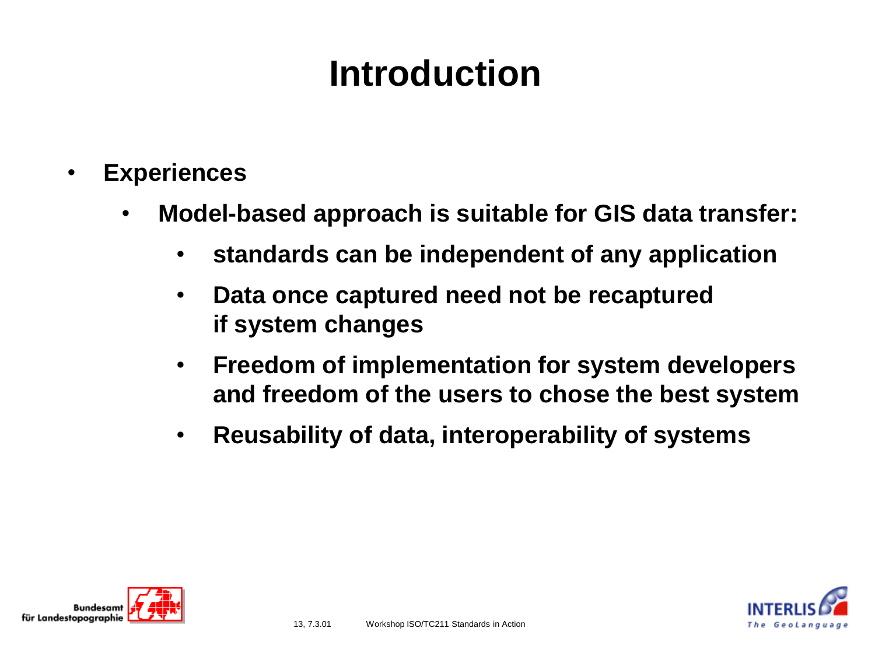- **Experiences**
	- **Model-based approach is suitable for GIS data transfer:** 
		- **standards can be independent of any application**
		- **Data once captured need not be recaptured if system changes**
		- **Freedom of implementation for system developers and freedom of the users to chose the best system**
		- **Reusability of data, interoperability of systems**



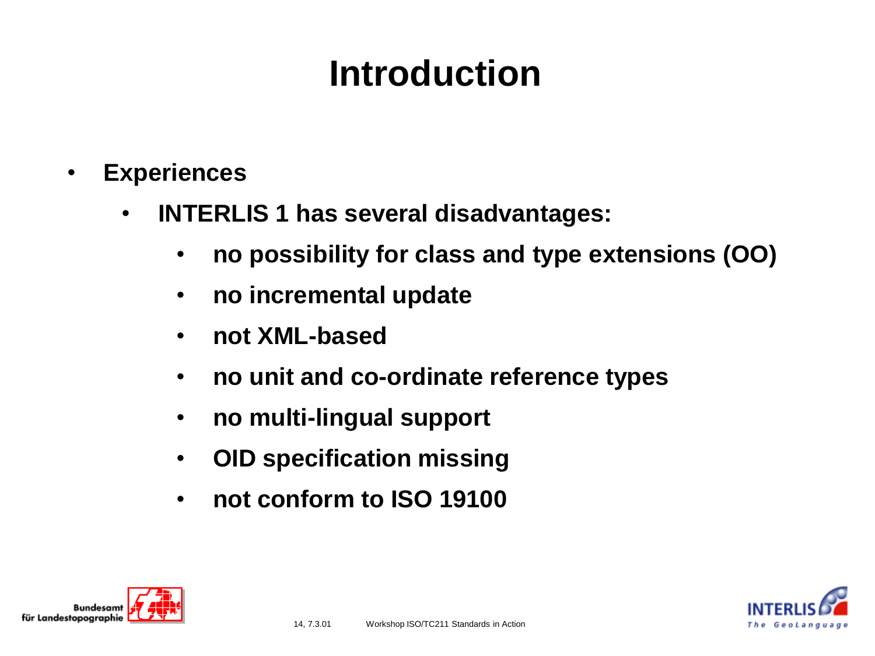- **Experiences**
	- **INTERLIS 1 has several disadvantages:**
		- **no possibility for class and type extensions (OO)**
		- **no incremental update**
		- **not XML-based**
		- **no unit and co-ordinate reference types**
		- **no multi-lingual support**
		- **OID specification missing**
		- **not conform to ISO 19100**



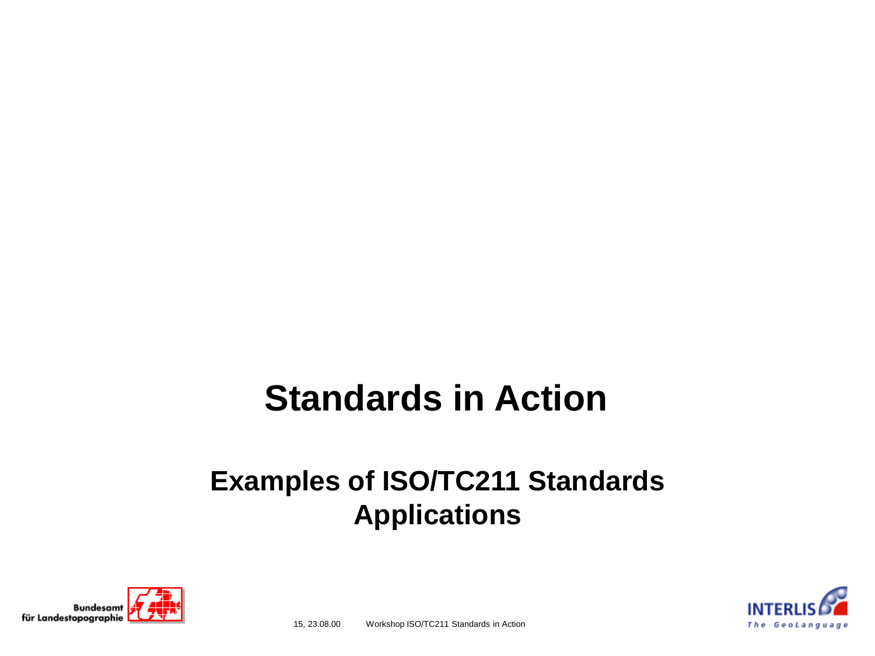#### **Examples of ISO/TC211 Standards Applications**



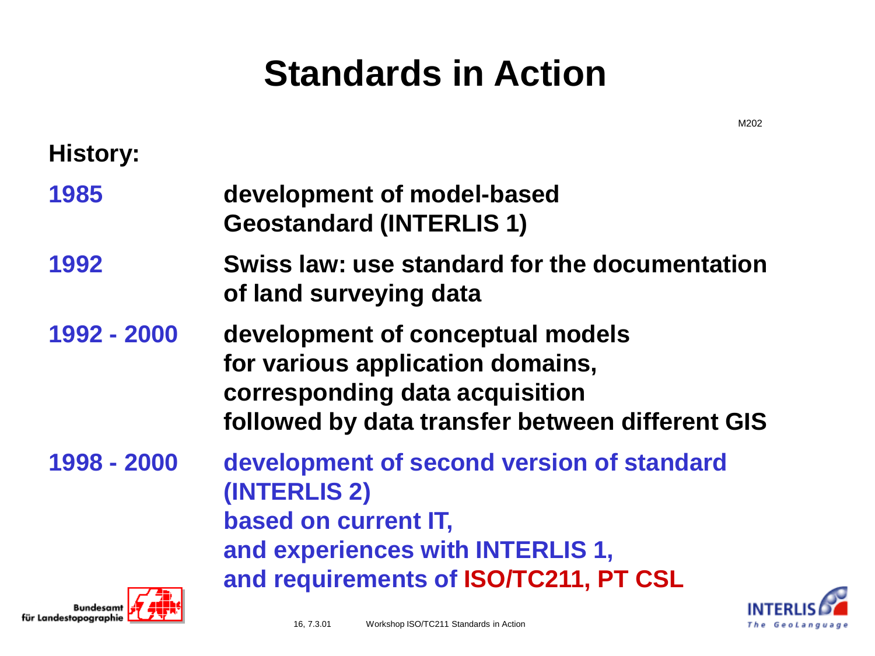#### **History:**

| 1985        | development of model-based<br><b>Geostandard (INTERLIS 1)</b>                                                                                                  |
|-------------|----------------------------------------------------------------------------------------------------------------------------------------------------------------|
| 1992        | Swiss law: use standard for the documentation<br>of land surveying data                                                                                        |
| 1992 - 2000 | development of conceptual models<br>for various application domains,<br>corresponding data acquisition<br>followed by data transfer between different GIS      |
| 1998 - 2000 | development of second version of standard<br>(INTERLIS 2)<br>based on current IT,<br>and experiences with INTERLIS 1,<br>and requirements of ISO/TC211, PT CSL |



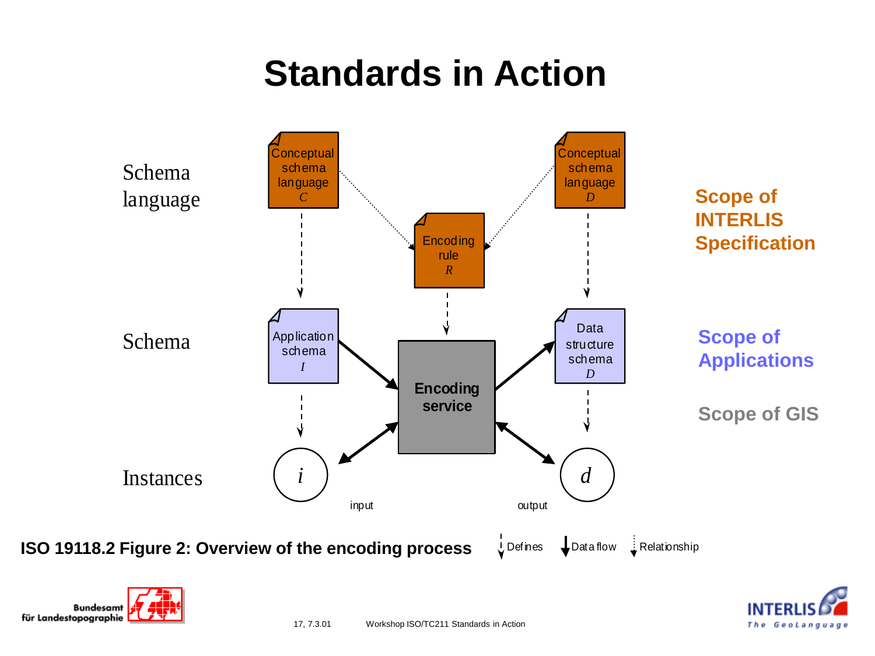



**Bundesamt** 

für Landestopographie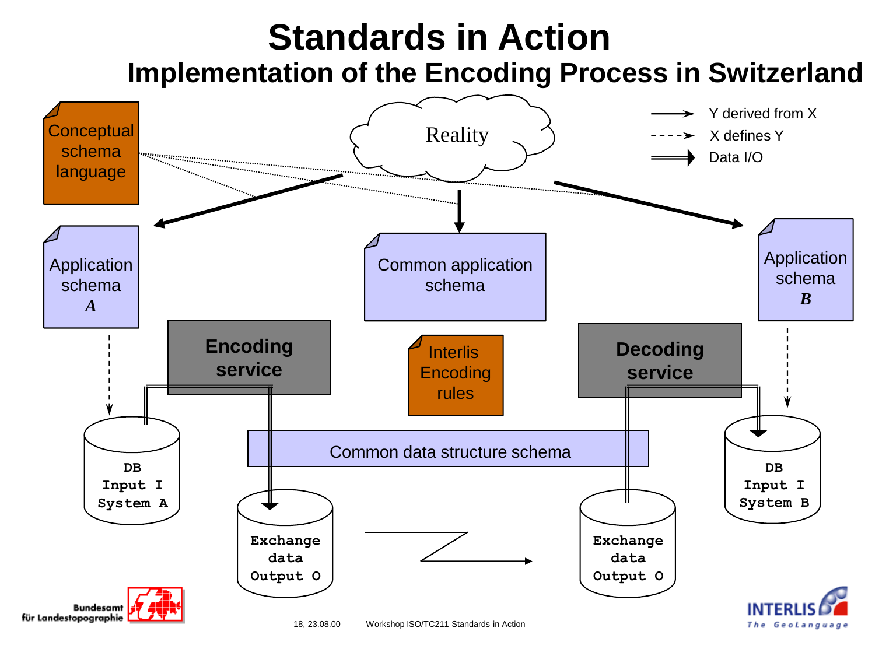**Implementation of the Encoding Process in Switzerland**

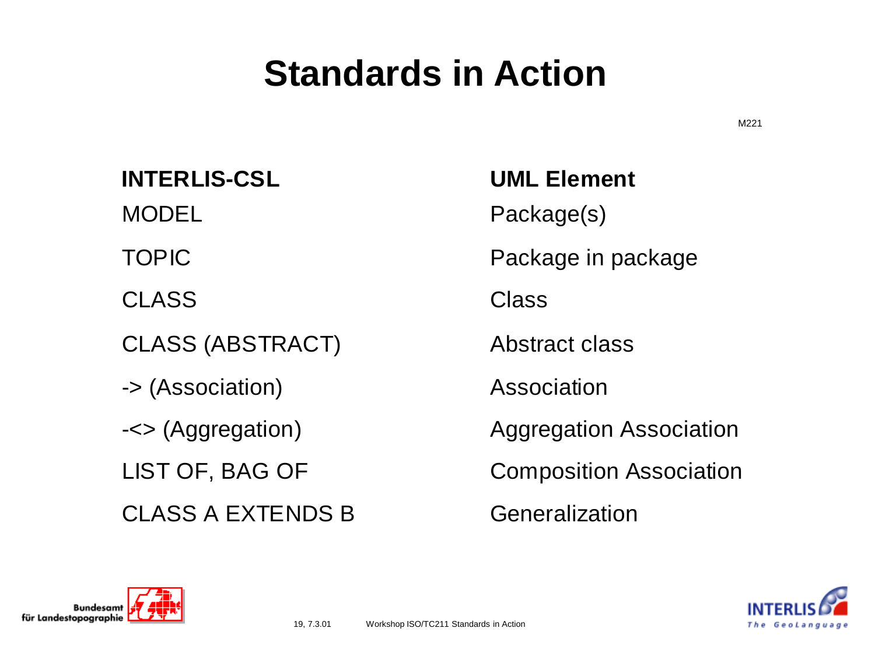**INTERLIS-CSL UML Element** MODEL Package(s) CLASS Class CLASS (ABSTRACT) Abstract class -> (Association) Association CLASS A EXTENDS B Generalization

TOPIC **Package in package** -<> (Aggregation) Aggregation Association LIST OF, BAG OF Composition Association



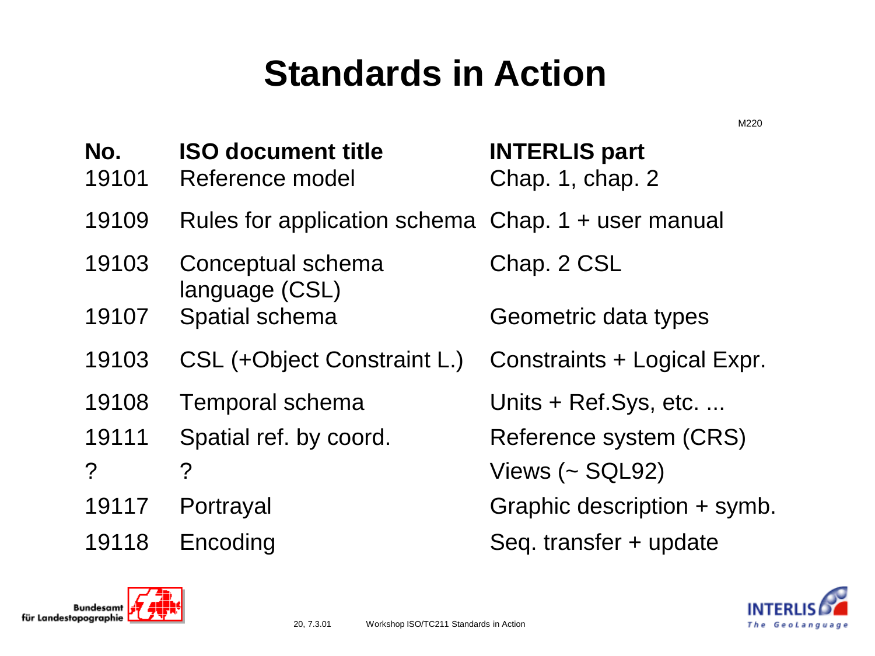| No.<br>19101          | <b>ISO document title</b><br>Reference model         | <b>INTERLIS part</b><br>Chap. 1, chap. 2 |
|-----------------------|------------------------------------------------------|------------------------------------------|
| 19109                 | Rules for application schema $Chap. 1 + user$ manual |                                          |
| 19103                 | Conceptual schema<br>language (CSL)                  | Chap. 2 CSL                              |
| 19107                 | <b>Spatial schema</b>                                | Geometric data types                     |
| 19103                 | CSL (+Object Constraint L.)                          | Constraints + Logical Expr.              |
| 19108                 | Temporal schema                                      | Units + Ref. Sys, etc.                   |
| 19111                 | Spatial ref. by coord.                               | Reference system (CRS)                   |
| $\boldsymbol{\gamma}$ | $\overline{?}$                                       | Views ( $\sim$ SQL92)                    |
| 19117                 | Portrayal                                            | Graphic description + symb.              |
| 19118                 | Encoding                                             | Seq. transfer + update                   |



M220

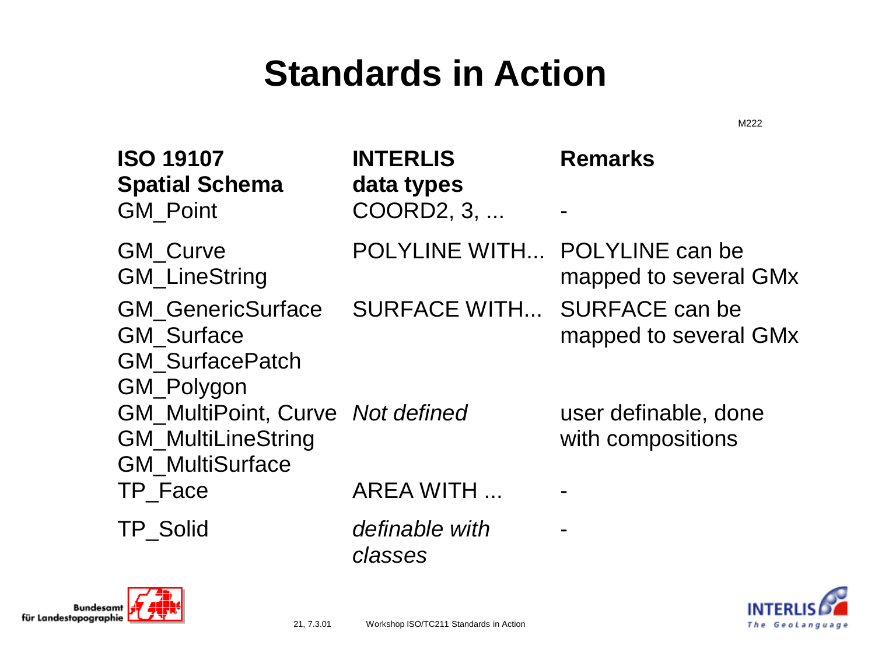| <b>ISO 19107</b><br><b>Spatial Schema</b><br><b>GM_Point</b>                            | <b>INTERLIS</b><br>data types<br>COORD2, 3, | <b>Remarks</b>                                 |
|-----------------------------------------------------------------------------------------|---------------------------------------------|------------------------------------------------|
| <b>GM_Curve</b><br><b>GM_LineString</b>                                                 | POLYLINE WITH POLYLINE can be               | mapped to several GMx                          |
| <b>GM GenericSurface</b><br><b>GM Surface</b><br><b>GM SurfacePatch</b><br>GM_Polygon   | <b>SURFACE WITH</b>                         | <b>SURFACE can be</b><br>mapped to several GMx |
| GM_MultiPoint, Curve Not defined<br><b>GM_MultiLineString</b><br><b>GM_MultiSurface</b> |                                             | user definable, done<br>with compositions      |
| TP Face                                                                                 | <b>AREA WITH </b>                           |                                                |
| TP_Solid                                                                                | definable with<br>classes                   |                                                |



M222

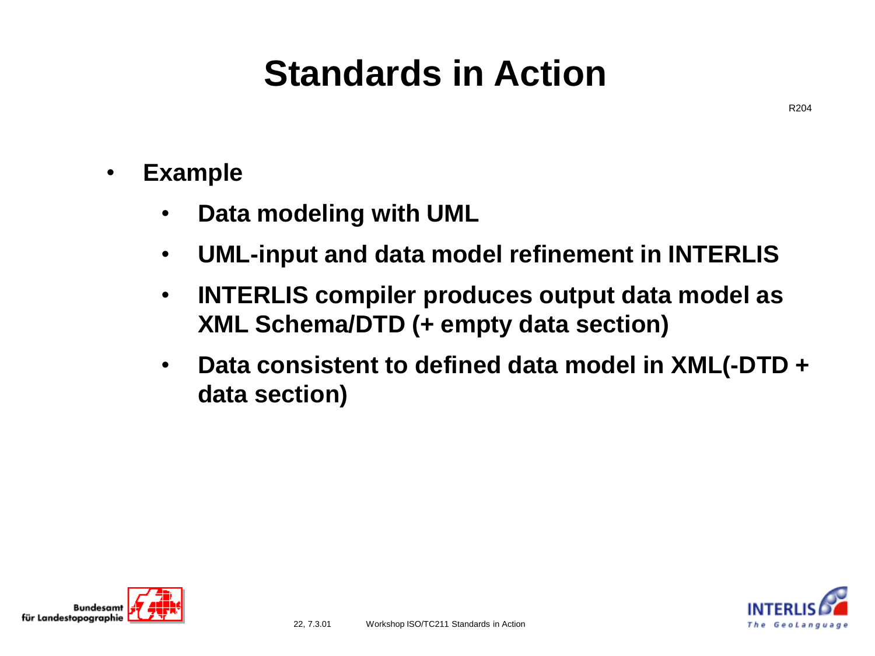- **Example**
	- **Data modeling with UML**
	- **UML-input and data model refinement in INTERLIS**
	- **INTERLIS compiler produces output data model as XML Schema/DTD (+ empty data section)**
	- **Data consistent to defined data model in XML(-DTD + data section)**



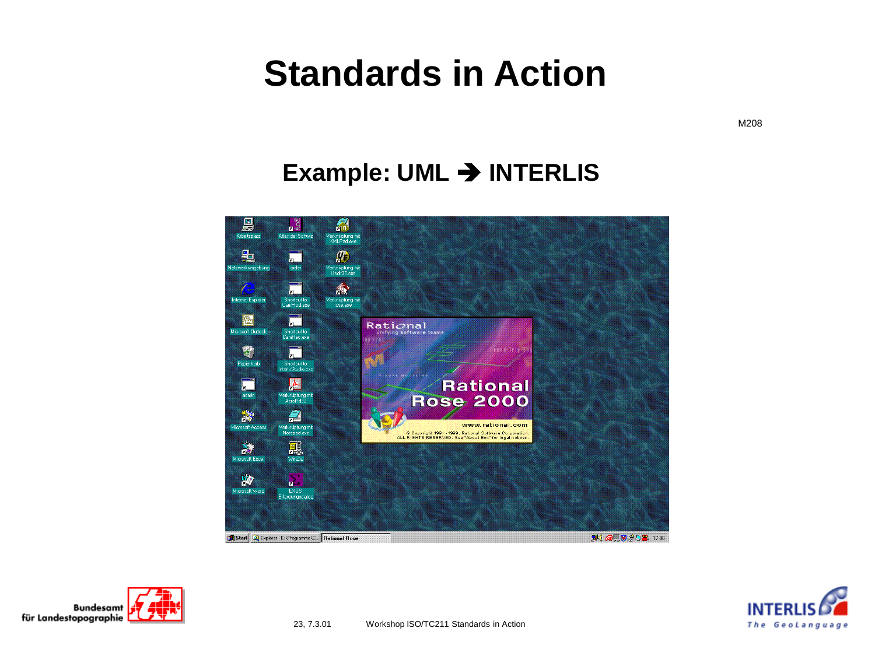M208

#### **Example: UML** ➔ **INTERLIS**





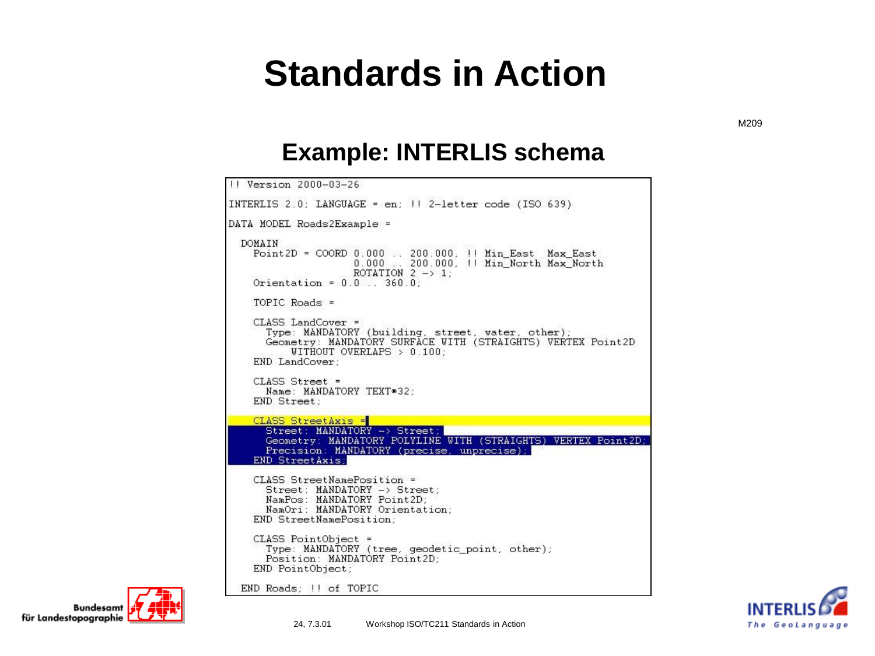M209

#### **Example: INTERLIS schema**

```
11 Version 2000-03-26
INTERLIS 2.0; LANGUAGE = en; !! 2-letter code (ISO 639)
DATA MODEL Roads2Example =
 DOMATN
    Point2D = COORD 0.000 .. 200.000, !! Min_East Max_East
                    0.000 .. 200.000, 11 Min_North Max_North
                    ROTATION 2 \rightarrow 1:
    Orientation = 0.0 ... 360.0;
    TOPIC Roads =
    CLASS LandCover =
      Type: MANDATORY (building, street, water, other);
      Geometry: MANDATORY SURFACE WITH (STRAIGHTS) VERTEX Point2D
          WITHOUT OVERLAPS > 0.100:
    END LandCover:
    CLASS Street =
      Name: MANDATORY TEXT*32:
    END Street;
    CLASS StreetAxis =
      Street: MANDATORY -> Street;
      Geometry: MANDATORY POLYLINE WITH (STRAIGHTS) VERTEX Point2D
      Precision: MANDATORY (precise, unprecise),
    END StreetAxis:
    CLASS StreetNamePosition =
      Street: MANDATORY -> Street;
      NamPos: MANDATORY Point2D;
      NamOri: MANDATORY Orientation:
    END StreetNamePosition:
    CLASS PointObject =
      Type: MANDATORY (tree, geodetic_point, other);
      Position: MANDATORY Point2D;
    END PointObject;
  END Roads; 11 of TOPIC
```


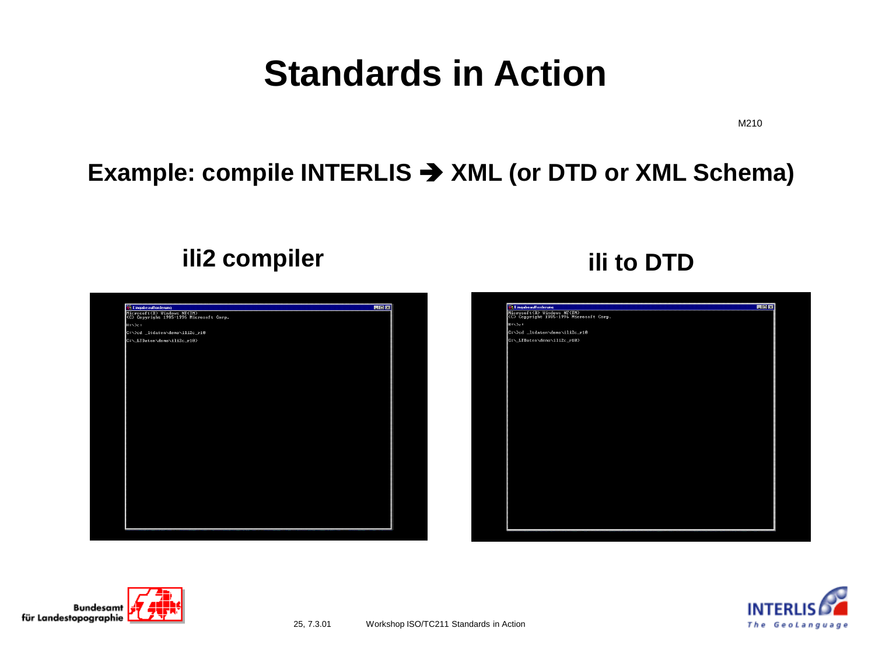M210

#### **Example: compile INTERLIS** ➔ **XML (or DTD or XML Schema)**

#### **ili2 compiler ili to DTD**

| <b>Eingabeaufforderung</b>                                             | 圖回図 |
|------------------------------------------------------------------------|-----|
| Microsoft(R) Windows NT(TM)<br>(C) Copyright 1985-1996 Microsoft Corp. |     |
| H:\>e:                                                                 |     |
| C:\>cd _ltdaten\demo\ili2c_r10                                         |     |
| C:\_LTDaten\demo\ili2c_r10>                                            |     |
|                                                                        |     |
|                                                                        |     |
|                                                                        |     |
|                                                                        |     |
|                                                                        |     |
|                                                                        |     |
|                                                                        |     |
|                                                                        |     |
|                                                                        |     |
|                                                                        |     |
|                                                                        |     |
|                                                                        |     |
|                                                                        |     |
|                                                                        |     |
|                                                                        |     |
|                                                                        |     |
|                                                                        |     |
|                                                                        |     |
|                                                                        |     |
|                                                                        |     |
|                                                                        |     |
|                                                                        |     |



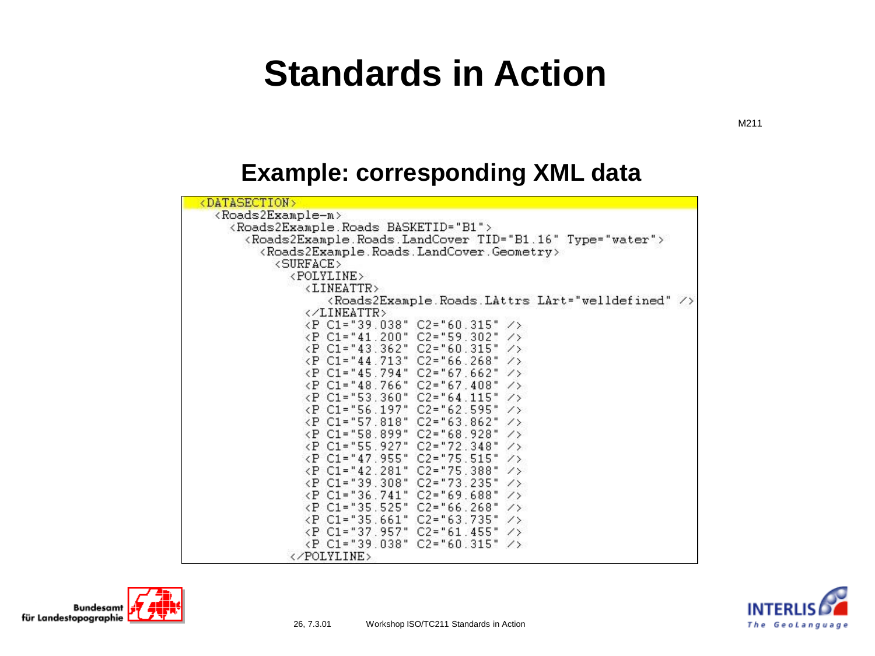M211

#### **Example: corresponding XML data**

| <datasection></datasection>                                                              |
|------------------------------------------------------------------------------------------|
| <roads2example-m></roads2example-m>                                                      |
| <roads2example.roads basketid="B1"></roads2example.roads>                                |
| <roads2example.roads.landcover tid="B1.16" type="water"></roads2example.roads.landcover> |
| (Roads2Example.Roads.LandCover.Geometry) <                                               |
| <surface></surface>                                                                      |
| <polyline></polyline>                                                                    |
| $\langle$ LINEATTR>                                                                      |
| <roads2example.roads.lattrs <="" lart="welldefined" td=""></roads2example.roads.lattrs>  |
| $\langle$ /LINEATTR>                                                                     |
| $\langle P \ C1 = "39.038" C2 = "60.315" \rangle$                                        |
| $\langle P$ C1="41.200" C2="59.302" />                                                   |
| $\langle P \text{ C1} = "43.362" \text{ C2} = "60.315" \rangle$                          |
| $\langle P \ C1 = "44.713" C2 = "66.268" \rangle$                                        |
| <p c1="45.794" c2="67.662"></p>                                                          |
| $\langle P$ C1="48.766" C2="67.408" />                                                   |
| $\langle P \ C1 = "53, 360" C2 = "64, 115" \rangle$                                      |
| $\langle P$ C1="56.197" C2="62.595" />                                                   |
| <p <br="" c1="57.818" c2="63.862"><math>\rightarrow</math></p>                           |
| <p c1="58.899" c2="68.928"></p>                                                          |
| <p <br="" c1="55.927" c2="72.348"><math>\rightarrow</math></p>                           |
| $\langle P$ C1="47.955" C2="75.515" />                                                   |
| $\langle P$ C1="42.281" C2="75.388" />                                                   |
| <p c1="39.308" c2="73.235"></p>                                                          |
| $\langle P$ C1="36.741" C2="69.688" />                                                   |
| $\langle P$ C1="35.525" C2="66.268" />                                                   |
| $\langle P \ C1 = "35.661" C2 = "63.735" \rangle$                                        |
| $\langle P$ C1="37.957" C2="61.455" />                                                   |
| $\langle P \ C1 = "39.038" C2 = "60.315" \rangle$                                        |
|                                                                                          |



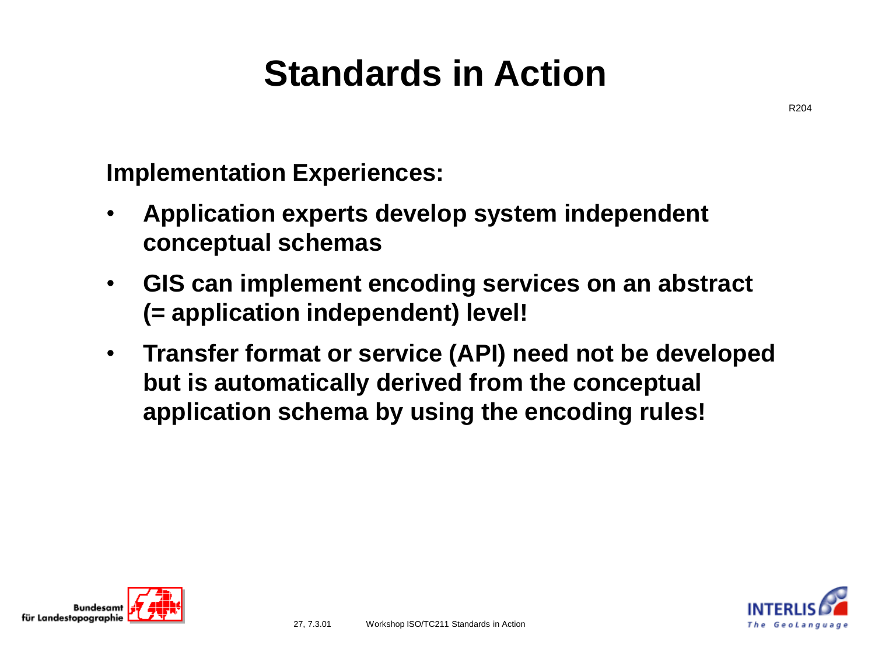**Implementation Experiences:**

- **Application experts develop system independent conceptual schemas**
- **GIS can implement encoding services on an abstract (= application independent) level!**
- **Transfer format or service (API) need not be developed but is automatically derived from the conceptual application schema by using the encoding rules!**



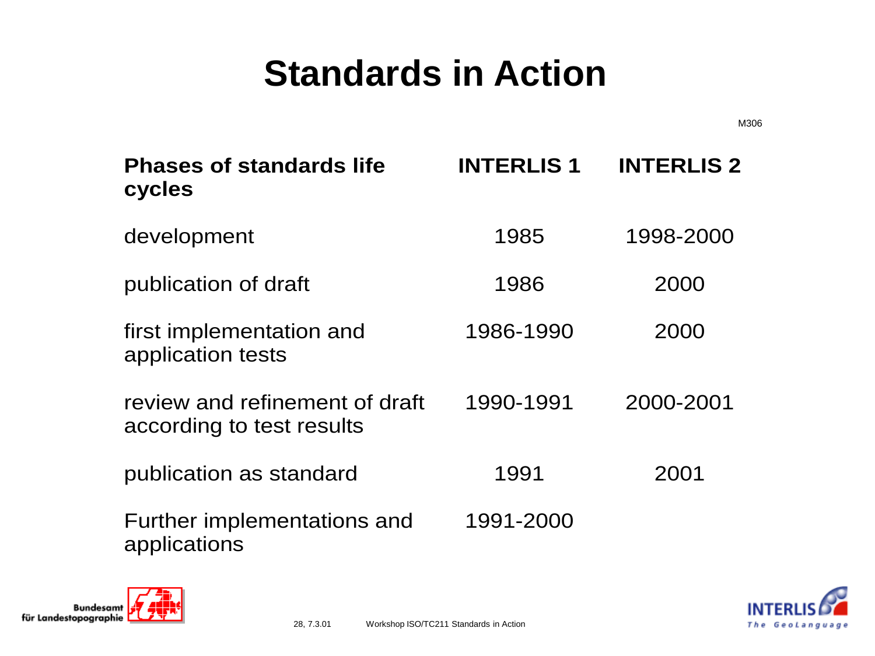| M306 |
|------|
|      |

| <b>Phases of standards life</b><br>cycles                   | <b>INTERLIS1</b> | <b>INTERLIS 2</b> |
|-------------------------------------------------------------|------------------|-------------------|
| development                                                 | 1985             | 1998-2000         |
| publication of draft                                        | 1986             | 2000              |
| first implementation and<br>application tests               | 1986-1990        | 2000              |
| review and refinement of draft<br>according to test results | 1990-1991        | 2000-2001         |
| publication as standard                                     | 1991             | 2001              |
| Further implementations and<br>applications                 | 1991-2000        |                   |



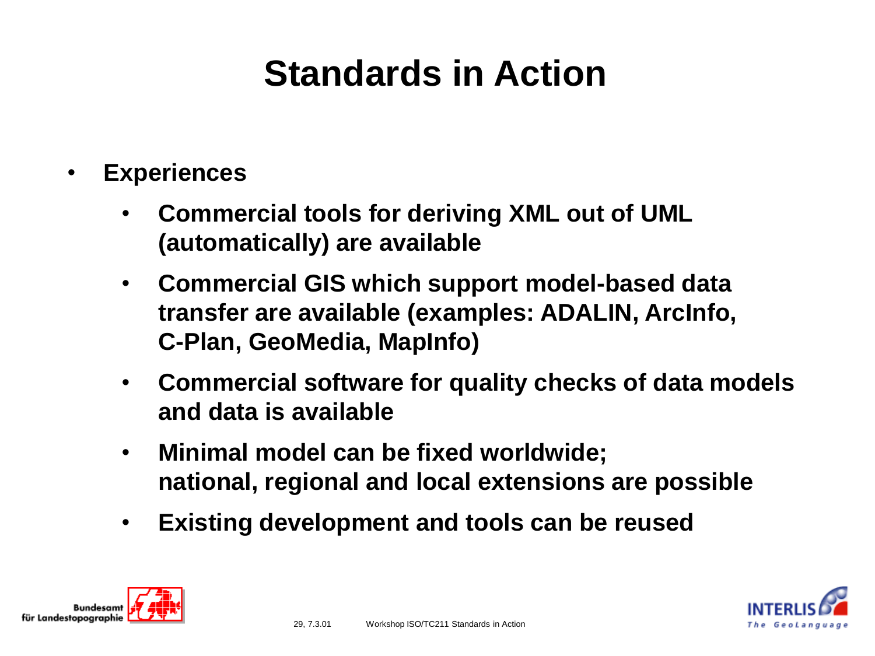- **Experiences**
	- **Commercial tools for deriving XML out of UML (automatically) are available**
	- **Commercial GIS which support model-based data transfer are available (examples: ADALIN, ArcInfo, C-Plan, GeoMedia, MapInfo)**
	- **Commercial software for quality checks of data models and data is available**
	- **Minimal model can be fixed worldwide; national, regional and local extensions are possible**
	- **Existing development and tools can be reused**



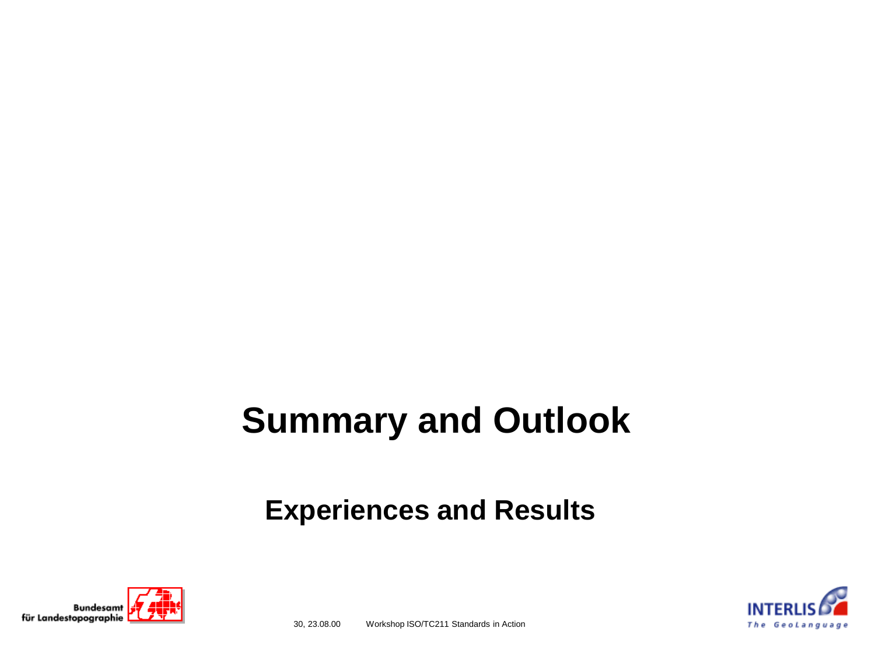## **Summary and Outlook**

#### **Experiences and Results**



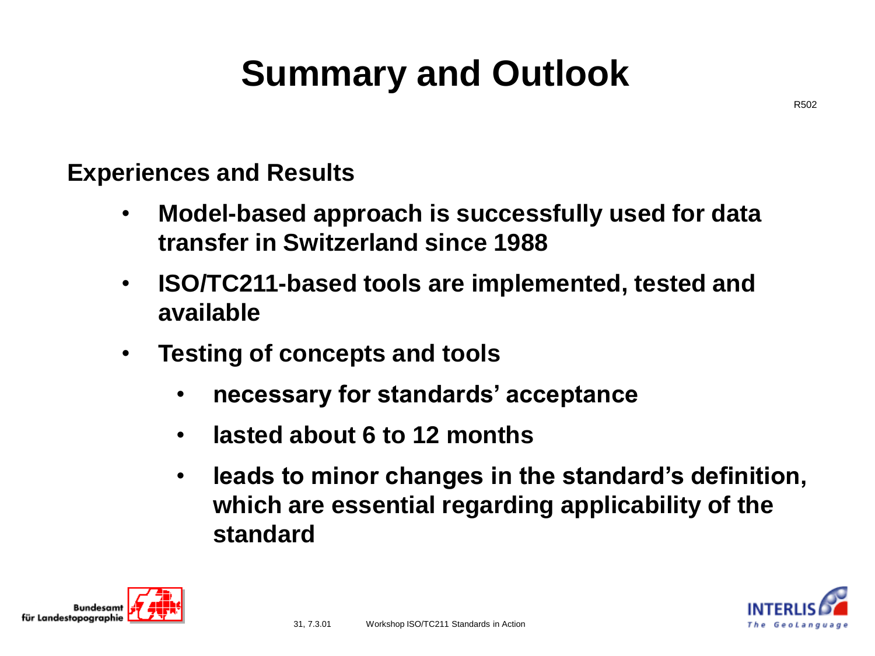# **Summary and Outlook**

#### **Experiences and Results**

- **Model-based approach is successfully used for data transfer in Switzerland since 1988**
- **ISO/TC211-based tools are implemented, tested and available**
- **Testing of concepts and tools**
	- **necessary for standards' acceptance**
	- **lasted about 6 to 12 months**
	- **leads to minor changes in the standard's definition, which are essential regarding applicability of the standard**



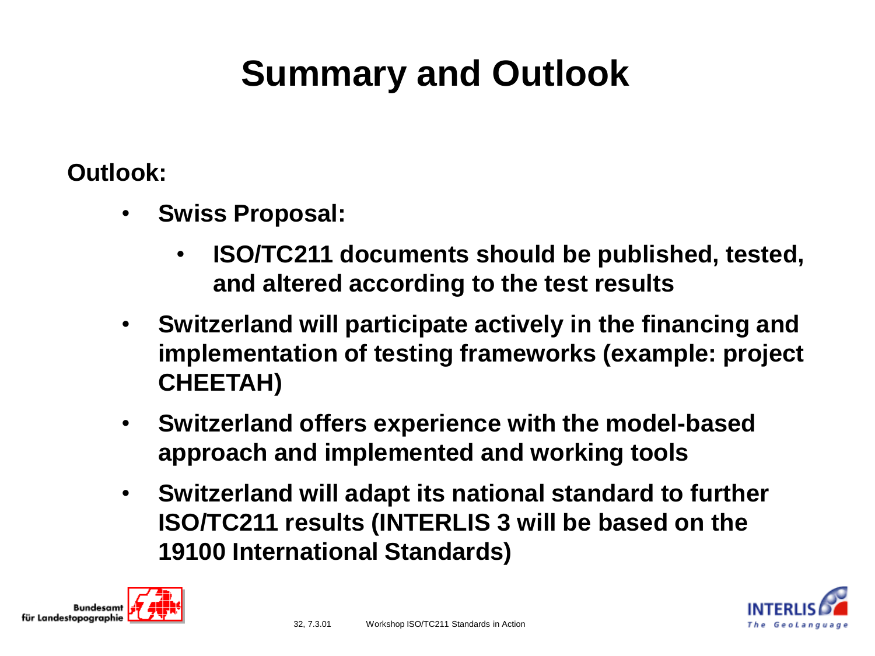# **Summary and Outlook**

#### **Outlook:**

- **Swiss Proposal:**
	- **ISO/TC211 documents should be published, tested, and altered according to the test results**
- **Switzerland will participate actively in the financing and implementation of testing frameworks (example: project CHEETAH)**
- **Switzerland offers experience with the model-based approach and implemented and working tools**
- **Switzerland will adapt its national standard to further ISO/TC211 results (INTERLIS 3 will be based on the 19100 International Standards)**



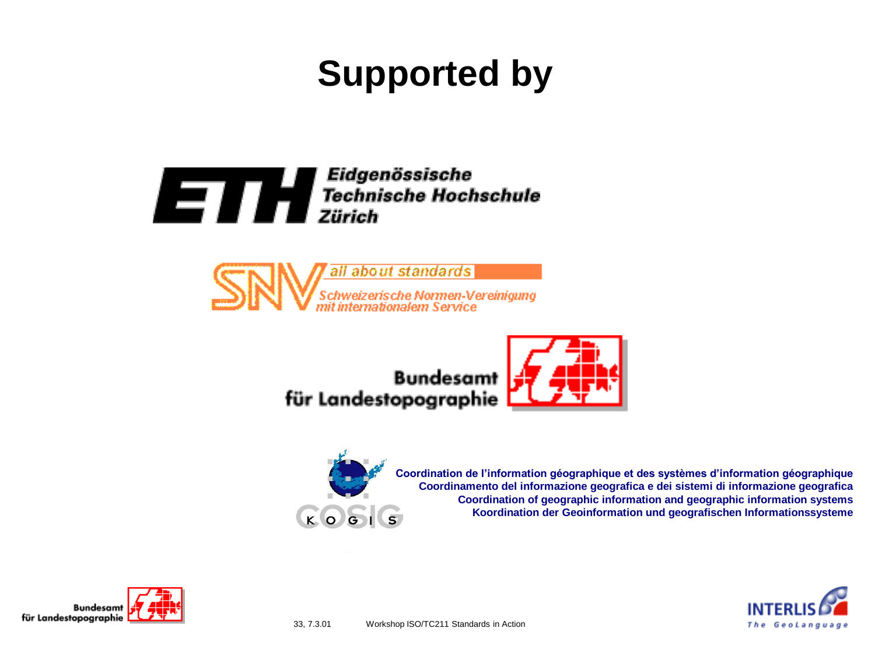# **Supported by**





**Bundesamt** für Landestopographie





**Coordination de l'information géographique et des systèmes d'information géographique Coordinamento del informazione geografica e dei sistemi di informazione geografica Coordination of geographic information and geographic information systems Koordination der Geoinformation und geografischen Informationssysteme**